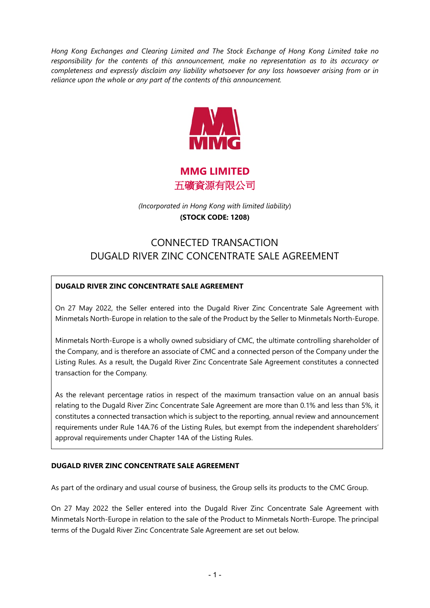*Hong Kong Exchanges and Clearing Limited and The Stock Exchange of Hong Kong Limited take no responsibility for the contents of this announcement, make no representation as to its accuracy or completeness and expressly disclaim any liability whatsoever for any loss howsoever arising from or in reliance upon the whole or any part of the contents of this announcement.*



**MMG LIMITED** 五礦資源有限公司

*(Incorporated in Hong Kong with limited liability*) **(STOCK CODE: 1208)**

# CONNECTED TRANSACTION DUGALD RIVER ZINC CONCENTRATE SALE AGREEMENT

# **DUGALD RIVER ZINC CONCENTRATE SALE AGREEMENT**

On 27 May 2022, the Seller entered into the Dugald River Zinc Concentrate Sale Agreement with Minmetals North-Europe in relation to the sale of the Product by the Seller to Minmetals North-Europe.

Minmetals North-Europe is a wholly owned subsidiary of CMC, the ultimate controlling shareholder of the Company, and is therefore an associate of CMC and a connected person of the Company under the Listing Rules. As a result, the Dugald River Zinc Concentrate Sale Agreement constitutes a connected transaction for the Company.

As the relevant percentage ratios in respect of the maximum transaction value on an annual basis relating to the Dugald River Zinc Concentrate Sale Agreement are more than 0.1% and less than 5%, it constitutes a connected transaction which is subject to the reporting, annual review and announcement requirements under Rule 14A.76 of the Listing Rules, but exempt from the independent shareholders' approval requirements under Chapter 14A of the Listing Rules.

## **DUGALD RIVER ZINC CONCENTRATE SALE AGREEMENT**

As part of the ordinary and usual course of business, the Group sells its products to the CMC Group.

On 27 May 2022 the Seller entered into the Dugald River Zinc Concentrate Sale Agreement with Minmetals North-Europe in relation to the sale of the Product to Minmetals North-Europe. The principal terms of the Dugald River Zinc Concentrate Sale Agreement are set out below.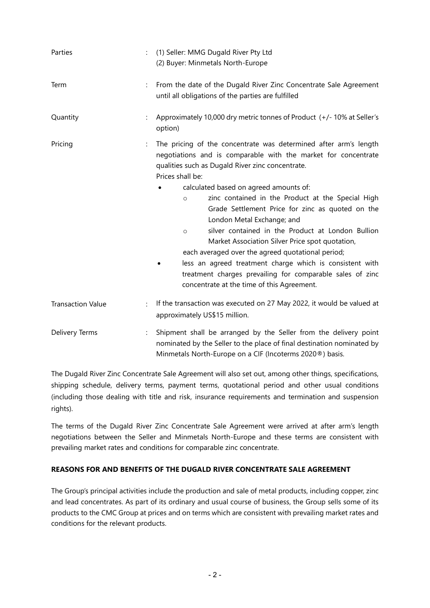| Parties                  | $\ddot{\phantom{a}}$ | (1) Seller: MMG Dugald River Pty Ltd<br>(2) Buyer: Minmetals North-Europe                                                                                                                                                                                                                                                                                                                                                                                                                                                                                                                                                                                                                                                                             |
|--------------------------|----------------------|-------------------------------------------------------------------------------------------------------------------------------------------------------------------------------------------------------------------------------------------------------------------------------------------------------------------------------------------------------------------------------------------------------------------------------------------------------------------------------------------------------------------------------------------------------------------------------------------------------------------------------------------------------------------------------------------------------------------------------------------------------|
| Term                     |                      | From the date of the Dugald River Zinc Concentrate Sale Agreement<br>until all obligations of the parties are fulfilled                                                                                                                                                                                                                                                                                                                                                                                                                                                                                                                                                                                                                               |
| Quantity                 |                      | Approximately 10,000 dry metric tonnes of Product (+/-10% at Seller's<br>option)                                                                                                                                                                                                                                                                                                                                                                                                                                                                                                                                                                                                                                                                      |
| Pricing                  |                      | The pricing of the concentrate was determined after arm's length<br>negotiations and is comparable with the market for concentrate<br>qualities such as Dugald River zinc concentrate.<br>Prices shall be:<br>calculated based on agreed amounts of:<br>zinc contained in the Product at the Special High<br>$\circ$<br>Grade Settlement Price for zinc as quoted on the<br>London Metal Exchange; and<br>silver contained in the Product at London Bullion<br>$\circ$<br>Market Association Silver Price spot quotation,<br>each averaged over the agreed quotational period;<br>less an agreed treatment charge which is consistent with<br>treatment charges prevailing for comparable sales of zinc<br>concentrate at the time of this Agreement. |
| <b>Transaction Value</b> |                      | If the transaction was executed on 27 May 2022, it would be valued at<br>approximately US\$15 million.                                                                                                                                                                                                                                                                                                                                                                                                                                                                                                                                                                                                                                                |
| Delivery Terms           |                      | Shipment shall be arranged by the Seller from the delivery point<br>nominated by the Seller to the place of final destination nominated by<br>Minmetals North-Europe on a CIF (Incoterms 2020®) basis.                                                                                                                                                                                                                                                                                                                                                                                                                                                                                                                                                |

The Dugald River Zinc Concentrate Sale Agreement will also set out, among other things, specifications, shipping schedule, delivery terms, payment terms, quotational period and other usual conditions (including those dealing with title and risk, insurance requirements and termination and suspension rights).

The terms of the Dugald River Zinc Concentrate Sale Agreement were arrived at after arm's length negotiations between the Seller and Minmetals North-Europe and these terms are consistent with prevailing market rates and conditions for comparable zinc concentrate.

## **REASONS FOR AND BENEFITS OF THE DUGALD RIVER CONCENTRATE SALE AGREEMENT**

The Group's principal activities include the production and sale of metal products, including copper, zinc and lead concentrates. As part of its ordinary and usual course of business, the Group sells some of its products to the CMC Group at prices and on terms which are consistent with prevailing market rates and conditions for the relevant products.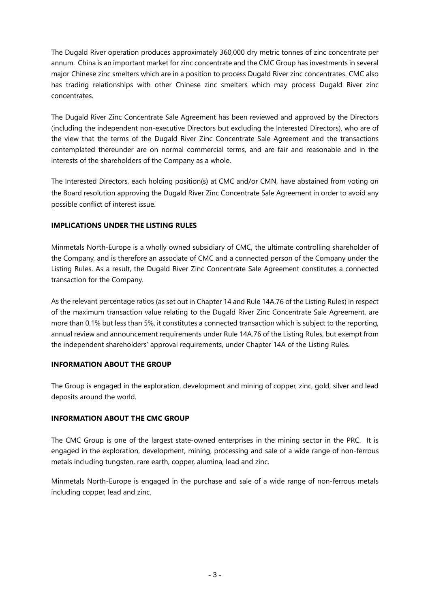The Dugald River operation produces approximately 360,000 dry metric tonnes of zinc concentrate per annum. China is an important market for zinc concentrate and the CMC Group has investments in several major Chinese zinc smelters which are in a position to process Dugald River zinc concentrates. CMC also has trading relationships with other Chinese zinc smelters which may process Dugald River zinc concentrates.

The Dugald River Zinc Concentrate Sale Agreement has been reviewed and approved by the Directors (including the independent non-executive Directors but excluding the Interested Directors), who are of the view that the terms of the Dugald River Zinc Concentrate Sale Agreement and the transactions contemplated thereunder are on normal commercial terms, and are fair and reasonable and in the interests of the shareholders of the Company as a whole.

The Interested Directors, each holding position(s) at CMC and/or CMN, have abstained from voting on the Board resolution approving the Dugald River Zinc Concentrate Sale Agreement in order to avoid any possible conflict of interest issue.

# **IMPLICATIONS UNDER THE LISTING RULES**

Minmetals North-Europe is a wholly owned subsidiary of CMC, the ultimate controlling shareholder of the Company, and is therefore an associate of CMC and a connected person of the Company under the Listing Rules. As a result, the Dugald River Zinc Concentrate Sale Agreement constitutes a connected transaction for the Company.

As the relevant percentage ratios (as set out in Chapter 14 and Rule 14A.76 of the Listing Rules) in respect of the maximum transaction value relating to the Dugald River Zinc Concentrate Sale Agreement, are more than 0.1% but less than 5%, it constitutes a connected transaction which is subject to the reporting, annual review and announcement requirements under Rule 14A.76 of the Listing Rules, but exempt from the independent shareholders' approval requirements, under Chapter 14A of the Listing Rules.

## **INFORMATION ABOUT THE GROUP**

The Group is engaged in the exploration, development and mining of copper, zinc, gold, silver and lead deposits around the world.

## **INFORMATION ABOUT THE CMC GROUP**

The CMC Group is one of the largest state-owned enterprises in the mining sector in the PRC. It is engaged in the exploration, development, mining, processing and sale of a wide range of non-ferrous metals including tungsten, rare earth, copper, alumina, lead and zinc.

Minmetals North-Europe is engaged in the purchase and sale of a wide range of non-ferrous metals including copper, lead and zinc.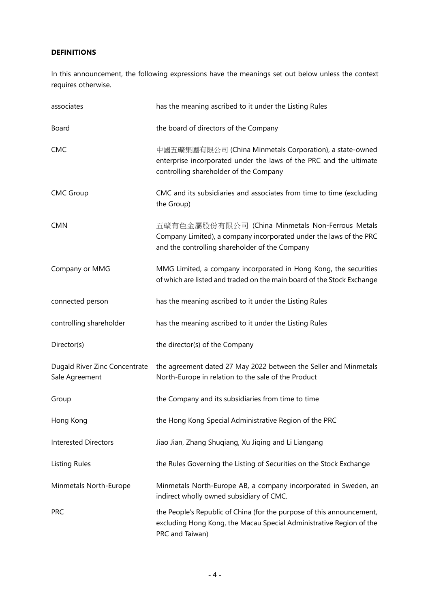# **DEFINITIONS**

In this announcement, the following expressions have the meanings set out below unless the context requires otherwise.

| associates                                      | has the meaning ascribed to it under the Listing Rules                                                                                                                   |
|-------------------------------------------------|--------------------------------------------------------------------------------------------------------------------------------------------------------------------------|
| Board                                           | the board of directors of the Company                                                                                                                                    |
| <b>CMC</b>                                      | 中國五礦集團有限公司 (China Minmetals Corporation), a state-owned<br>enterprise incorporated under the laws of the PRC and the ultimate<br>controlling shareholder of the Company  |
| <b>CMC Group</b>                                | CMC and its subsidiaries and associates from time to time (excluding<br>the Group)                                                                                       |
| <b>CMN</b>                                      | 五礦有色金屬股份有限公司 (China Minmetals Non-Ferrous Metals<br>Company Limited), a company incorporated under the laws of the PRC<br>and the controlling shareholder of the Company |
| Company or MMG                                  | MMG Limited, a company incorporated in Hong Kong, the securities<br>of which are listed and traded on the main board of the Stock Exchange                               |
| connected person                                | has the meaning ascribed to it under the Listing Rules                                                                                                                   |
| controlling shareholder                         | has the meaning ascribed to it under the Listing Rules                                                                                                                   |
| Director(s)                                     | the director(s) of the Company                                                                                                                                           |
| Dugald River Zinc Concentrate<br>Sale Agreement | the agreement dated 27 May 2022 between the Seller and Minmetals<br>North-Europe in relation to the sale of the Product                                                  |
| Group                                           | the Company and its subsidiaries from time to time                                                                                                                       |
| Hong Kong                                       | the Hong Kong Special Administrative Region of the PRC                                                                                                                   |
| <b>Interested Directors</b>                     | Jiao Jian, Zhang Shuqiang, Xu Jiqing and Li Liangang                                                                                                                     |
| <b>Listing Rules</b>                            | the Rules Governing the Listing of Securities on the Stock Exchange                                                                                                      |
| Minmetals North-Europe                          | Minmetals North-Europe AB, a company incorporated in Sweden, an<br>indirect wholly owned subsidiary of CMC.                                                              |
| <b>PRC</b>                                      | the People's Republic of China (for the purpose of this announcement,<br>excluding Hong Kong, the Macau Special Administrative Region of the<br>PRC and Taiwan)          |